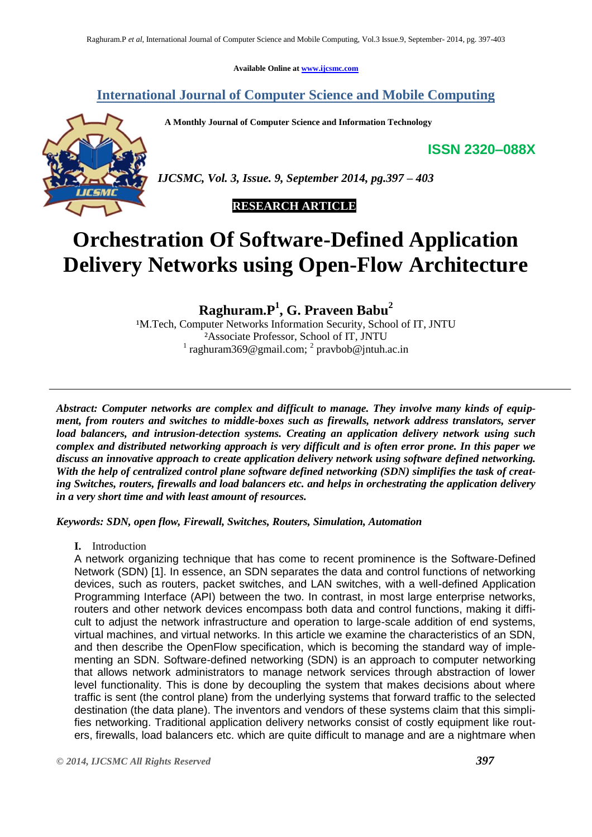**Available Online at [www.ijcsmc.com](http://www.ijcsmc.com/)**

### **International Journal of Computer Science and Mobile Computing**

 **A Monthly Journal of Computer Science and Information Technology**

**ISSN 2320–088X**



*IJCSMC, Vol. 3, Issue. 9, September 2014, pg.397 – 403*

## **RESEARCH ARTICLE**

# **Orchestration Of Software-Defined Application Delivery Networks using Open-Flow Architecture**

**Raghuram.P<sup>1</sup> , G. Praveen Babu<sup>2</sup>**

<sup>1</sup>M.Tech, Computer Networks Information Security, School of IT, JNTU ²Associate Professor, School of IT, JNTU  $1$  raghuram369@gmail.com;  $2$  pravbob@jntuh.ac.in

*Abstract: Computer networks are complex and difficult to manage. They involve many kinds of equipment, from routers and switches to middle-boxes such as firewalls, network address translators, server load balancers, and intrusion-detection systems. Creating an application delivery network using such complex and distributed networking approach is very difficult and is often error prone. In this paper we discuss an innovative approach to create application delivery network using software defined networking. With the help of centralized control plane software defined networking (SDN) simplifies the task of creating Switches, routers, firewalls and load balancers etc. and helps in orchestrating the application delivery in a very short time and with least amount of resources.*

*Keywords: SDN, open flow, Firewall, Switches, Routers, Simulation, Automation*

**I.** Introduction

A network organizing technique that has come to recent prominence is the Software-Defined Network (SDN) [1]. In essence, an SDN separates the data and control functions of networking devices, such as routers, packet switches, and LAN switches, with a well-defined Application Programming Interface (API) between the two. In contrast, in most large enterprise networks, routers and other network devices encompass both data and control functions, making it difficult to adjust the network infrastructure and operation to large-scale addition of end systems, virtual machines, and virtual networks. In this article we examine the characteristics of an SDN, and then describe the OpenFlow specification, which is becoming the standard way of implementing an SDN. Software-defined networking (SDN) is an approach to computer networking that allows network administrators to manage network services through abstraction of lower level functionality. This is done by decoupling the system that makes decisions about where traffic is sent (the control plane) from the underlying systems that forward traffic to the selected destination (the data plane). The inventors and vendors of these systems claim that this simplifies networking. Traditional application delivery networks consist of costly equipment like routers, firewalls, load balancers etc. which are quite difficult to manage and are a nightmare when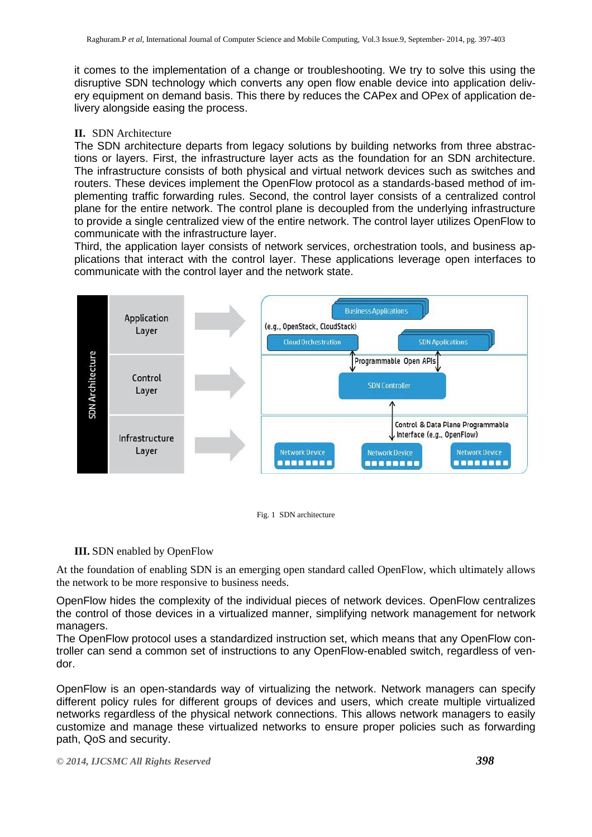it comes to the implementation of a change or troubleshooting. We try to solve this using the disruptive SDN technology which converts any open flow enable device into application delivery equipment on demand basis. This there by reduces the CAPex and OPex of application delivery alongside easing the process.

#### **II.** SDN Architecture

The SDN architecture departs from legacy solutions by building networks from three abstractions or layers. First, the infrastructure layer acts as the foundation for an SDN architecture. The infrastructure consists of both physical and virtual network devices such as switches and routers. These devices implement the OpenFlow protocol as a standards-based method of implementing traffic forwarding rules. Second, the control layer consists of a centralized control plane for the entire network. The control plane is decoupled from the underlying infrastructure to provide a single centralized view of the entire network. The control layer utilizes OpenFlow to communicate with the infrastructure layer.

Third, the application layer consists of network services, orchestration tools, and business applications that interact with the control layer. These applications leverage open interfaces to communicate with the control layer and the network state.





#### **III.** SDN enabled by OpenFlow

At the foundation of enabling SDN is an emerging open standard called OpenFlow, which ultimately allows the network to be more responsive to business needs.

OpenFlow hides the complexity of the individual pieces of network devices. OpenFlow centralizes the control of those devices in a virtualized manner, simplifying network management for network managers.

The OpenFlow protocol uses a standardized instruction set, which means that any OpenFlow controller can send a common set of instructions to any OpenFlow-enabled switch, regardless of vendor.

OpenFlow is an open-standards way of virtualizing the network. Network managers can specify different policy rules for different groups of devices and users, which create multiple virtualized networks regardless of the physical network connections. This allows network managers to easily customize and manage these virtualized networks to ensure proper policies such as forwarding path, QoS and security.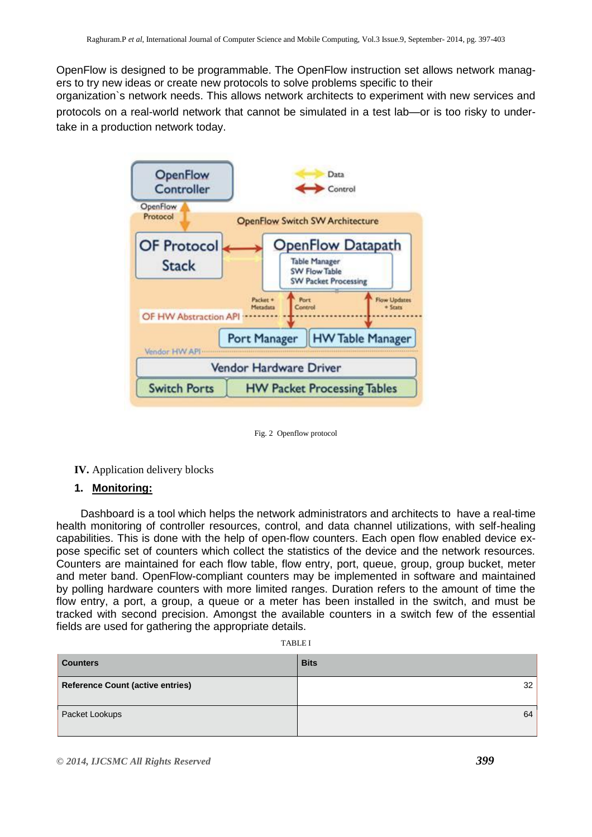OpenFlow is designed to be programmable. The OpenFlow instruction set allows network managers to try new ideas or create new protocols to solve problems specific to their

organization`s network needs. This allows network architects to experiment with new services and protocols on a real-world network that cannot be simulated in a test lab—or is too risky to undertake in a production network today.



Fig. 2 Openflow protocol

**IV.** Application delivery blocks

#### **1. Monitoring:**

 Dashboard is a tool which helps the network administrators and architects to have a real-time health monitoring of controller resources, control, and data channel utilizations, with self-healing capabilities. This is done with the help of open-flow counters. Each open flow enabled device expose specific set of counters which collect the statistics of the device and the network resources. Counters are maintained for each flow table, flow entry, port, queue, group, group bucket, meter and meter band. OpenFlow-compliant counters may be implemented in software and maintained by polling hardware counters with more limited ranges. Duration refers to the amount of time the flow entry, a port, a group, a queue or a meter has been installed in the switch, and must be tracked with second precision. Amongst the available counters in a switch few of the essential fields are used for gathering the appropriate details.

|--|

| <b>Counters</b>                         | <b>Bits</b> |
|-----------------------------------------|-------------|
| <b>Reference Count (active entries)</b> | 32          |
| Packet Lookups                          | 64          |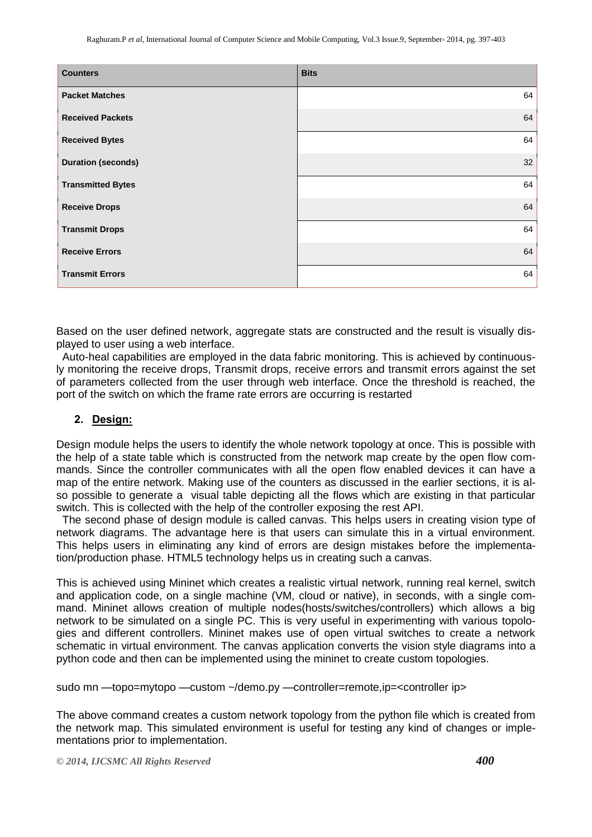| <b>Counters</b>           | <b>Bits</b> |
|---------------------------|-------------|
| <b>Packet Matches</b>     | 64          |
| <b>Received Packets</b>   | 64          |
| <b>Received Bytes</b>     | 64          |
| <b>Duration (seconds)</b> | 32          |
| <b>Transmitted Bytes</b>  | 64          |
| <b>Receive Drops</b>      | 64          |
| <b>Transmit Drops</b>     | 64          |
| <b>Receive Errors</b>     | 64          |
| <b>Transmit Errors</b>    | 64          |

Based on the user defined network, aggregate stats are constructed and the result is visually displayed to user using a web interface.

 Auto-heal capabilities are employed in the data fabric monitoring. This is achieved by continuously monitoring the receive drops, Transmit drops, receive errors and transmit errors against the set of parameters collected from the user through web interface. Once the threshold is reached, the port of the switch on which the frame rate errors are occurring is restarted

#### **2. Design:**

Design module helps the users to identify the whole network topology at once. This is possible with the help of a state table which is constructed from the network map create by the open flow commands. Since the controller communicates with all the open flow enabled devices it can have a map of the entire network. Making use of the counters as discussed in the earlier sections, it is also possible to generate a visual table depicting all the flows which are existing in that particular switch. This is collected with the help of the controller exposing the rest API.

 The second phase of design module is called canvas. This helps users in creating vision type of network diagrams. The advantage here is that users can simulate this in a virtual environment. This helps users in eliminating any kind of errors are design mistakes before the implementation/production phase. HTML5 technology helps us in creating such a canvas.

This is achieved using Mininet which creates a realistic virtual network, running real kernel, switch and application code, on a single machine (VM, cloud or native), in seconds, with a single command. Mininet allows creation of multiple nodes(hosts/switches/controllers) which allows a big network to be simulated on a single PC. This is very useful in experimenting with various topologies and different controllers. Mininet makes use of open virtual switches to create a network schematic in virtual environment. The canvas application converts the vision style diagrams into a python code and then can be implemented using the mininet to create custom topologies.

sudo mn —topo=mytopo —custom ~/demo.py —controller=remote,ip=<controller ip>

The above command creates a custom network topology from the python file which is created from the network map. This simulated environment is useful for testing any kind of changes or implementations prior to implementation.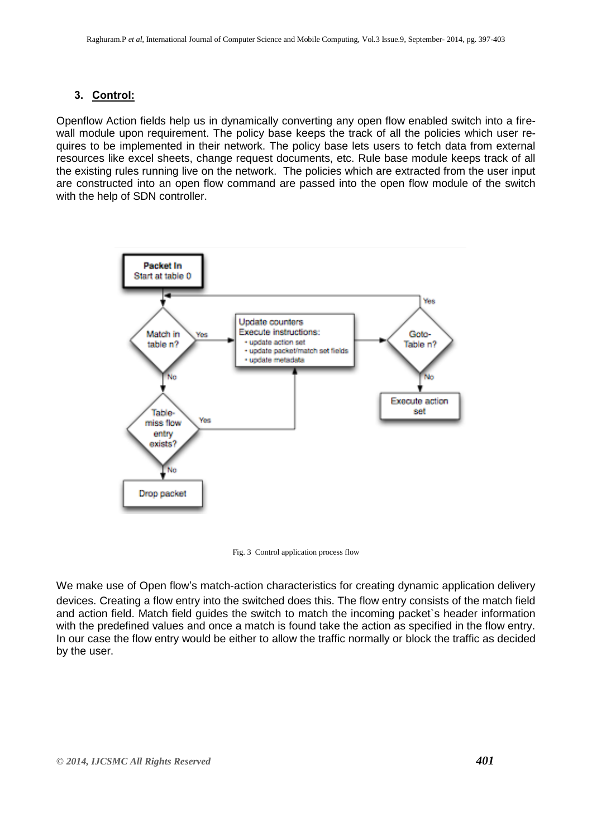## **3. Control:**

Openflow Action fields help us in dynamically converting any open flow enabled switch into a firewall module upon requirement. The policy base keeps the track of all the policies which user requires to be implemented in their network. The policy base lets users to fetch data from external resources like excel sheets, change request documents, etc. Rule base module keeps track of all the existing rules running live on the network. The policies which are extracted from the user input are constructed into an open flow command are passed into the open flow module of the switch with the help of SDN controller.



Fig. 3 Control application process flow

We make use of Open flow's match-action characteristics for creating dynamic application delivery devices. Creating a flow entry into the switched does this. The flow entry consists of the match field and action field. Match field guides the switch to match the incoming packet`s header information with the predefined values and once a match is found take the action as specified in the flow entry. In our case the flow entry would be either to allow the traffic normally or block the traffic as decided by the user.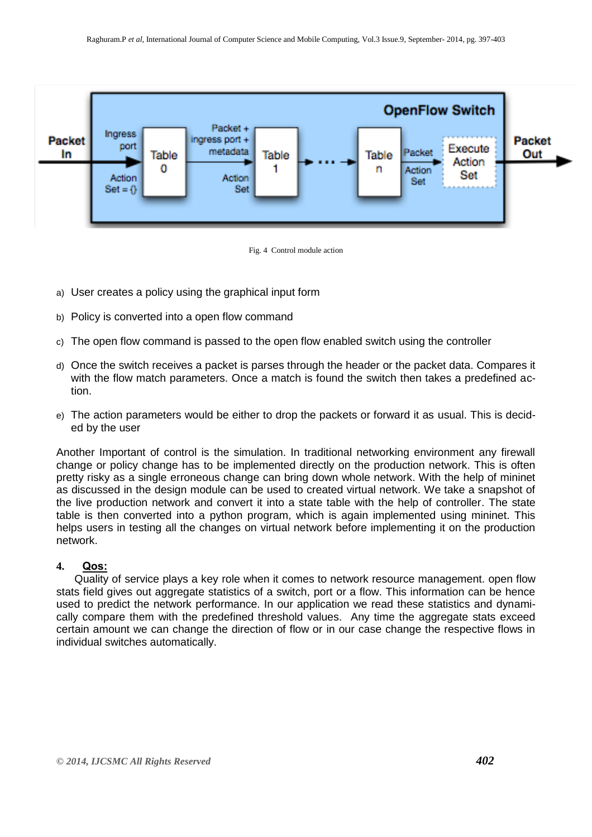



- a) User creates a policy using the graphical input form
- b) Policy is converted into a open flow command
- c) The open flow command is passed to the open flow enabled switch using the controller
- d) Once the switch receives a packet is parses through the header or the packet data. Compares it with the flow match parameters. Once a match is found the switch then takes a predefined action.
- e) The action parameters would be either to drop the packets or forward it as usual. This is decided by the user

Another Important of control is the simulation. In traditional networking environment any firewall change or policy change has to be implemented directly on the production network. This is often pretty risky as a single erroneous change can bring down whole network. With the help of mininet as discussed in the design module can be used to created virtual network. We take a snapshot of the live production network and convert it into a state table with the help of controller. The state table is then converted into a python program, which is again implemented using mininet. This helps users in testing all the changes on virtual network before implementing it on the production network.

#### **4. Qos:**

 Quality of service plays a key role when it comes to network resource management. open flow stats field gives out aggregate statistics of a switch, port or a flow. This information can be hence used to predict the network performance. In our application we read these statistics and dynamically compare them with the predefined threshold values. Any time the aggregate stats exceed certain amount we can change the direction of flow or in our case change the respective flows in individual switches automatically.